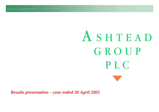*Results presentation – year ended 30 April 2005*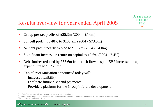# Results overview for year ended April 2005

- **Service Service** Group pre-tax profit<sup>1</sup> of £25.3m (2004 - £7.6m)
- **Service Service** Sunbelt profit<sup>2</sup> up 48% to  $$108.2m (2004 - $73.3m)$
- П A-Plant profit<sup>2</sup> nearly trebled to £11.7m (2004 - £4.0m)
- **Service Service** Significant increase in return on capital to 12.6% (2004 - 7.4%)
- П Debt further reduced by £53.6m from cash flow despite 73% increase in capital expenditure to £125.5m<sup>3</sup>
- $\overline{\phantom{a}}$  Capital reorganisation announced today will:
	- Increase flexibility
	- Facilitate future dividend payments
	- Provide a platform for the Group's future development

<sup>2</sup> Sunbelt's and A-Plant's profit comprises their operating profit before goodwill amortisation and, in 2004, before exceptional items  $\frac{3 \text{ Bofor}}{2 \text{ Bofor}}$  logo conitalisation offects

<sup>3</sup> Before lease capitalisation effects

<sup>&</sup>lt;sup>1</sup> Profit before tax, goodwill amortisation and, in 2004, exceptional items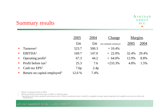## Summary results

|                             |                                         | 2005        | 2004        | Change                 | <b>Margins</b> |         |
|-----------------------------|-----------------------------------------|-------------|-------------|------------------------|----------------|---------|
|                             |                                         | $\pounds$ m | $\pounds$ m | (at constant currency) | 2005           | 2004    |
| $\mathcal{L}_{\rm{max}}$    | Turnover <sup>1</sup>                   | 523.7       | 500.3       | $+10.4\%$              |                |         |
| $\mathcal{L}_{\mathcal{A}}$ | EBITDA <sup>2</sup>                     | 169.7       | 147.0       | $+22.0\%$              | 32.4%          | 29.4%   |
| $\mathcal{L}_{\rm{max}}$    | Operating profit <sup>2</sup>           | 67.3        | 44.2        | $+64.0\%$              | 12.9%          | 8.8%    |
| $\blacksquare$              | Profit before $tax^2$                   | 25.3        | 7.6         | $+233.3%$              | 4.8%           | $1.5\%$ |
| $\mathcal{L}_{\mathcal{A}}$ | Cash tax $EPS2$                         | 7.6p        | 2.4p        |                        |                |         |
| $\mathcal{L}_{\mathcal{A}}$ | Return on capital employed <sup>3</sup> | 12.6 %      | 7.4%        |                        |                |         |

1Before exceptional items in 2004

2Before goodwill amortisation and, in 2004, exceptional items

3Operating profit before goodwill amortisation and, in 2004, exceptional items, divided by weighted average capital employed (net tangible assets plus net debt and deferred tax)

*all your equipment needs…….one company**2* **2**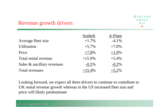### Revenue growth drivers

|                            | Sunbelt  | A-Plant  |
|----------------------------|----------|----------|
| Average fleet size         | $+1.7%$  | $-4.1\%$ |
| Utilisation                | $+5.7\%$ | $+7.8\%$ |
| Price                      | $+7.8%$  | $+1.9\%$ |
| Total rental revenue       | $+15.9%$ | $+5.4%$  |
| Sales & ancillary revenues | $-0.5\%$ | $-0.2\%$ |
| <b>Total revenues</b>      | $+15.4%$ | $+5.2\%$ |

Looking forward, we expect all three drivers to continue to contribute to UK rental revenue growth whereas in the US increased fleet size and price will likely predominate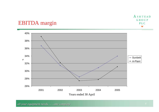ASHTEAD GROUP PLC  $\blacktriangledown$ 

#### EBITDA margin



*all your equipment needs…….one company all your equipment needs .......one company**...*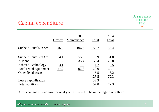# Capital expenditure

|                           | Growth      | 2005<br>Maintenance | Total        | 2004<br>Total |
|---------------------------|-------------|---------------------|--------------|---------------|
| Sunbelt Rentals in \$m    | 46.0        | 106.7               | <u>152.7</u> | <u>56.4</u>   |
| Sunbelt Rentals in £m     | 24.1        | 55.8                | 79.9         | 31.8          |
| A-Plant                   |             | 35.4                | 35.4         | 29.8          |
| <b>Ashtead Technology</b> | <u>3.1</u>  | 1.6                 | 4.7          | 2.5           |
| Total rental equipment    | <u>27.2</u> | 92.8                | 120.0        | 64.1          |
| Other fixed assets        |             |                     | <u>5.5</u>   | 8.2           |
|                           |             |                     | 125.5        | 72.3          |
| Lease capitalisation      |             |                     | 32.3         |               |
| Total additions           |             |                     | 157.8        |               |

Gross capital expenditure for next year expected to be in the region of £160m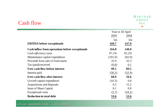#### Cash flow

|                                                 | Year to 30 April |              |  |  |
|-------------------------------------------------|------------------|--------------|--|--|
|                                                 | 2005             | 2004         |  |  |
|                                                 | $\pounds$ m      | $\pounds$ m  |  |  |
| <b>EBITDA</b> before exceptionals               | 169.7            | 147.0        |  |  |
| Cash inflow from operations before exceptionals | 164.8            | <b>140.0</b> |  |  |
| Cash efficiency ratio                           | 97.1%            | 95.2%        |  |  |
| Maintenance capital expenditure                 | (101.0)          | (82.9)       |  |  |
| Proceeds from sale of fixed assets              | 35.9             | 32.3         |  |  |
| Tax (paid)/received                             | (0.6)            | 0.1          |  |  |
| Free cash flow before interest                  | 99.1             | 89.5         |  |  |
| Interest paid                                   | (30.2)           | (32.9)       |  |  |
| <b>Free cash flow after interest</b>            | 68.9             | 56.6         |  |  |
| Growth capital expenditure                      | (10.2)           | 0.0          |  |  |
| Acquisitions and disposals                      | 0.5              | 15.2         |  |  |
| <b>Issue of Share Capital</b>                   | 0.1              | 0.0          |  |  |
| Exceptional costs                               | (5.7)            | (18.2)       |  |  |
| <b>Reduction in total debt</b>                  | 53.6             | 53.6         |  |  |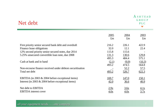| Net debt                                                   |                     |                     | ASHTEAD<br>GROUP<br>PLC |
|------------------------------------------------------------|---------------------|---------------------|-------------------------|
|                                                            | 2005<br>$\pounds$ m | 2004<br>$\pounds$ m | 2003<br>$\pounds$ m     |
| First priority senior secured bank debt and overdraft      | 216.2               | 226.1               | 422.9                   |
| Finance lease obligations                                  | 32.0                | 12.1                | 22.4                    |
| 12% second priority senior secured notes, due 2014         | 115.8               | 115.6               |                         |
| 5.25% unsecured convertible loan note, due 2008            | 131.3               | 130.6               | 129.8                   |
|                                                            | 495.3               | 484.4               | 575.1                   |
| Cash at bank and in hand                                   | (2.1)               | (9.9)               | (10.3)                  |
|                                                            | 493.2               | 474.5               | 564.8                   |
| Non-recourse finance received under debtors securitisation |                     | <u>52.2</u>         | <u>57.5</u>             |
| Total net debt                                             | 493.2               | 526.7               | 622.3                   |
| EBITDA (in 2003 & 2004 before exceptional items)           | <u> 169.7</u>       | <u>147.0</u>        | <u> 150.1</u>           |
| Interest (in 2003 $& 2004$ before exceptional items)       | 42.0                | <u>36.6</u>         | $\underline{40.9}$      |
| Net debt to EBITDA                                         | 2.9x                | <u>3.6x</u>         | <u>4.1x</u>             |
| <b>EBITDA</b> interest cover                               | 4.0x                | 4.0x                | 3.7x                    |

*all your equipment needs…….one company <i>all your equipment needs all your equipment needs <i>z <i>z <i>z z z z z z z z z z z z z z z z z z*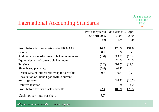# International Accounting Standards

|                                                    | Profit for year to Net assets at 30 April |               |              |
|----------------------------------------------------|-------------------------------------------|---------------|--------------|
|                                                    | <u>30 April 2005</u>                      | 2005          | 2004         |
|                                                    | $\pounds$ m                               | $\pounds$ m   | $\pounds$ m  |
|                                                    |                                           |               |              |
| Profit before tax /net assets under UK GAAP        | 16.4                                      | 126.9         | 131.8        |
| Goodwill                                           | 8.9                                       | 8.9           |              |
| Additional non-cash convertible loan note interest | (3.0)                                     | (13.4)        | (10.4)       |
| Equity element of convertible loan note            |                                           | 24.3          | 24.3         |
| Pensions                                           | (0.2)                                     | (16.5)        | (12.6)       |
| Share based payments                               | (0.4)                                     | (0.1)         |              |
| Restate \$100m interest rate swap to fair value    | 0.7                                       | 0.6           | (0.1)        |
| Revaluation of Sunbelt goodwill to current         |                                           |               |              |
| exchange rates                                     |                                           | (24.7)        | (16.7)       |
| Deferred taxation                                  |                                           | <u>3.9</u>    | 4.2          |
| Profit before tax /net assets under IFRS           | <u>22.4</u>                               | <u> 109.9</u> | <u>120.5</u> |
| Cash tax earnings per share                        | 6./p                                      |               |              |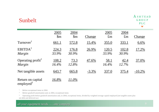| Sunbelt                                    |                                |                                |              |                       |                       | GROU<br>P L C |
|--------------------------------------------|--------------------------------|--------------------------------|--------------|-----------------------|-----------------------|---------------|
|                                            | 2005<br>$\mathop{\mathrm{Sm}}$ | 2004<br>$\mathop{\mathrm{Sm}}$ | Change       | 2005<br>$\pounds$ m   | 2004<br>$\pounds$ m   | Change        |
| Turnover <sup>1</sup>                      | <u>661.1</u>                   | <u>572.8</u>                   | <u>15.4%</u> | <u>355.0</u>          | 333.1                 | $6.6\%$       |
| EBITDA <sup>2</sup><br>Margin              | <u>224.3</u><br>33.9%          | <u>176.8</u><br>30.9%          | 26.9%        | <u>120.5</u><br>33.9% | <u>102.8</u><br>30.9% | <u>17.2%</u>  |
| Operating profit <sup>2</sup><br>Margin    | <u>108.2</u><br>16.4%          | 73.3<br>12.8%                  | 47.6%        | 58.1<br>16.4%         | 42.4<br>12.7%         | 37.0%         |
| Net tangible assets                        | 643.7                          | 665.8                          | $-3.3\%$     | 337.0                 | <u>375.4</u>          | $-10.2\%$     |
| Return on capital<br>employed <sup>3</sup> | <u> 16.8%</u>                  | <u> 11.0%</u>                  |              |                       |                       |               |

1Before exceptional items in 2004

2Before goodwill amortisation and, in 2004, exceptional items

3 Operating profit before goodwill amortisation and, in 2004, exceptional items, divided by weighted average capital employed (net tangible assets plus net debt and deferred tax)

#### *all your equipment needs all your equipment needs…….one company .one company <sup>9</sup>*

ASHTEAD GROUP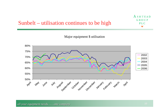# Sunbelt – utilisation continues to be high

**Major Equipment \$ Utilization** Major equipment \$ utilisation



ASHTEAD GROUP PLC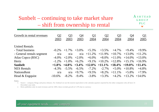#### Sunbelt – continuing to take market share  $\mathcal{L}_{\mathcal{A}}$ shift from ownership to rental

| Growth in rental revenues | <u>Q2</u> | <u>Q3</u> | <u>Q4</u> | $\overline{\mathrm{Q1}}$ | $\overline{\Omega}$                     | $Q_3$     | $\overline{Q4}$ | Q1          |
|---------------------------|-----------|-----------|-----------|--------------------------|-----------------------------------------|-----------|-----------------|-------------|
|                           | 2003      | 2003      | 2003      | 2004                     | 2004                                    | 2004      | 2004            | <u>2005</u> |
|                           |           |           |           |                          |                                         |           |                 |             |
| <b>United Rentals</b>     |           |           |           |                          |                                         |           |                 |             |
| - Total business          | $-0.2\%$  | $+1.7\%$  | $+3.0\%$  | $+5.3\%$                 | $+3.5\%$                                | $+4.7\%$  | $+9.4\%$        | $+9.9\%$    |
| - General rentals segment | n/a       | n/a       | n/a       | $+11.2\%$                | $+11.9\%$                               | $+10.7\%$ | $+13.0\%$       | $+11.2%$    |
| Atlas Copco (RSC)         | $-4.0\%$  | $+2.0\%$  | $+2.0\%$  | $+6.0\%$                 | $+8.0\%$                                | $+11.0\%$ | $+14.0\%$       | $+13.0\%$   |
| Hertz                     | $-1.2\%$  | $+1.0\%$  | $+6.2\%$  | $+9.1\%$                 | $+10.2\%$                               | $+12.8\%$ | $+15.1\%$       | $+16.9\%$   |
| <b>Sunbelt</b>            | $+1.8\%$  | $+4.8\%$  | $+3.4\%$  |                          | $+12.0\%$ $+11.1\%$ $+18.4\%$ $+19.0\%$ |           |                 | $+11.4\%$   |
| <b>NES</b> Rentals        | $-4.3\%$  | $-5.5\%$  | $-6.5\%$  | $-7.2\%$                 | $-2.7\%$                                | $+5.0\%$  | $+10.8\%$       | $+4.8\%$    |
| <b>NationsRent</b>        | n/a       | n/a       | $+9.7\%$  | $+9.5\%$                 | $+8.2\%$                                | $+11.1\%$ | $+5.8\%$        | $+7.9\%$    |
| Head $&$ Engquist         | $-10.6\%$ | $-8.2\%$  | $-9.4\%$  | $-3.8\%$                 | $+3.3\%$                                | $+4.2\%$  | $+13.2\%$       | $+14.0\%$   |

Notes:

1. Source – company filings and press releases. For Ashtead we use the nearest equivalent to the calendar quarters reported by the other companies who all have 31 December year ends.

2. Hertz publishes only its total revenues and Q1 2005, these exclude growth of 1.9% due to currency

ASHTEAD GROUP PLC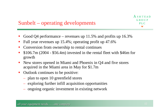# Sunbelt – operating developments

- Good Q4 performance revenues up 11.5% and profits up 16.3%
- $\mathcal{L}_{\mathcal{A}}$ Full year revenues up 15.4%; operating profit up 47.6%
- **I** Conversion from ownership to rental continues
- T. \$106.7m (2004 - \$56.4m) invested in the rental fleet with \$46m for growth
- $\mathcal{L}_{\mathcal{A}}$  New stores opened in Miami and Phoenix in Q4 and five stores acquired in the Miami area in May for \$1.7m
- $\mathcal{L}_{\mathcal{A}}$  Outlook continues to be positive:
	- $-$  plan to open 10 greenfield stores
	- $-$  exploring further infill acquisition opportunities
	- ongoing organic investment in existing network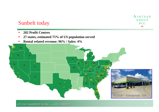## Sunbelt today

- $\blacksquare$ **202 Profit Centres**
- П **27 states, estimated 75% of US population served**
- $\mathbf{r}$ **Rental related revenue: 96% / Sales: 4%**

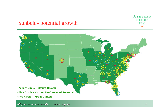#### Sunbelt - potential growth

۵ 蓝 ö  $\overline{\mathbf{W}}$ ြင့်စ MO **ERICA**  $\mathbf{A}\mathbf{Z}$ 6  $\frac{a}{2}$ m • **Yellow Circle – Mature Cluster** • **Blue Circle – Current Un-Clustered Potential**

• **Red Circle – Virgin Markets**

*all your equipment needs…….one company all your equipment needs all 14* 

ASHTEAD GROUP PLC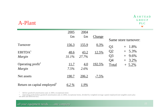#### ASHTEAD GROUP PLC  $\blacktriangledown$

|                                         | 2005                 | 2004         |              |                |                             |
|-----------------------------------------|----------------------|--------------|--------------|----------------|-----------------------------|
|                                         | $\pounds$ m          | $\pounds$ m  | Change       |                | Same store turnover:        |
| Turnover                                | <u>156.3</u>         | <u>155.9</u> | 0.3%         | Q <sub>1</sub> | 1.8%<br>$+$                 |
| EBITDA <sup>1</sup>                     | <u>48.6</u>          | 43.2         | <u>12.5%</u> | Q2             | 5.3%<br>$+$                 |
| Margin                                  | 31.1%                | 27.7%        |              | Q <sub>3</sub> | 9.6%<br>$+$                 |
| Operating profit <sup>1</sup><br>Margin | <u> 11.7</u><br>7.5% | 4.0<br>2.6%  | 192.5%       | Q4<br>Total    | 3.2%<br>$^{+}$<br>$+ 5.2\%$ |
| Net assets                              | 190.7                | <u>206.2</u> | $-7.5\%$     |                |                             |
| Return on capital employed <sup>3</sup> | $6.2\ \%$            |              |              |                |                             |

A-Plant

<sup>1</sup> Before goodwill amortisation and, in 2004, exceptional items<br><sup>2</sup> Operating profit before goodwill amortisation and, in 2004, exceptional items, divided by weighted average capital employed (net tangible assets plus<br>ne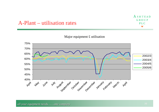#### A-Plant – utilisation rates

**Major Equipment £ Utilisation** Major equipment £ utilisation



ASHTEAD GROUP PLC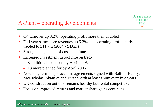# A-Plant – operating developments

- Q4 turnover up 3.2%; operating profit more than doubled
- $\mathcal{L}_{\mathcal{A}}$  Full year same store revenues up 5.2% and operating profit nearly trebled to £11.7m (2004 - £4.0m)
- $\mathbb{R}^n$ Strong management of costs continues
- $\overline{\phantom{a}}$  Increased investment in tool hire on track
	- 8 additional locations by April 2005
	- 18 more planned for by April 2006
- $\mathcal{L}_{\mathcal{A}}$  New long term major account agreements signed with Balfour Beatty, McNicholas, Skanska and Birse worth at least £50m over five years
- UK construction outlook remains healthy but rental competitive
- Focus on improved returns and market share gains continues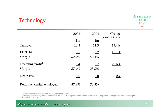# Technology

|                                         | 2005              | 2004              | Change<br>(at constant rates) |
|-----------------------------------------|-------------------|-------------------|-------------------------------|
|                                         | $\pounds$ m       | $\pounds$ m       |                               |
| Turnover                                | <u>12.4</u>       | <u> 11.3</u>      | <u>14.4%</u>                  |
| EBITDA <sup>1</sup>                     | 6.5               | <u>5.7</u>        | <u>16.2%</u>                  |
| Margin                                  | 52.4%             | 50.4%             |                               |
| Operating profit <sup>1</sup>           | $\underline{3.4}$ | 2.7               | <u>29.6%</u>                  |
| Margin                                  | 27.4%             | 23.9%             |                               |
| Net assets                              | $\underline{8.0}$ | $\underline{8.0}$ | $\underline{0\%}$             |
| Return on capital employed <sup>2</sup> | 42.2%             | 33.4%             |                               |

1Before goodwill amortisation and, in 2004, exceptional items

 $\frac{2}{2}$  Operating profit before goodwill amortisation and, in 2004, exceptional items, divided by weighted average capital employed (net tangible assets plus net debt and deferred tax)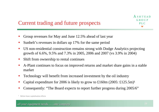# Current trading and future prospects

- Ξ Group revenues for May and June 12.5% ahead of last year
- × Sunbelt's revenues in dollars up 17% for the same period
- $\overline{\phantom{a}}$  US non-residential construction remains strong with Dodge Analytics projecting growth of 6.6%, 9.5% and 7.3% in 2005, 2006 and 2007 (vs 3.9% in 2004)
- $\blacksquare$ Shift from ownership to rental continues
- T. A-Plant continues to focus on improved returns and market share gains in a stable market
- $\mathcal{L}_{\mathcal{A}}$ Technology will benefit from increased investment by the oil industry
- $\overline{\phantom{a}}$ Capital expenditure for 2006 is likely to grow to £160m (2005: £125.5m)<sup>1</sup>
- Consequently: "The Board expects to report further progress during 2005/6"

<sup>&</sup>lt;sup>1</sup> Before lease capitalisation effects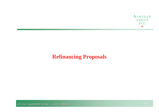

# **Refinancing Proposals**

*all your equipment needs…….one company*  $20$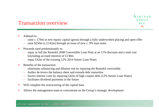#### Transaction overview

#### $\blacksquare$ Ashtead to:

- raise c. £70m in new equity capital (gross) through a fully underwritten placing and open offer
- raise \$250m (c.£142m) through an issue of new c. 9% loan notes
- $\overline{\phantom{a}}$  Proceeds used predominantly to:
	- repay in full the Rentokil 2008 Convertible Loan Note at an 11% discount and a total cost (including accrued interest) of £130m
	- repay £42m of the existing 12% 2014 Senior Loan Notes
- $\blacksquare$  Benefits of the transaction:
	- eliminates refinancing and dilution risk by repaying the Rentokil convertible
	- further de-levers the balance sheet and extends debt maturities
	- lowers interest costs by repaying £42m of high coupon debt (12% Senior Loan Notes)
	- facilitates dividend payments in the future
- $\mathcal{L}_{\mathcal{A}}$ Will complete the restructuring of the capital base
- $\overline{\phantom{a}}$ Allows the management team to concentrate on the Group's strategic development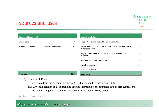#### **Sources of funds (£m)**  Equity issue 70  $$250$  second lien secured New Senior Loan Notes<sup>1</sup> 142 **Total sources £212 Uses of funds (£m)** Repay 35% of existing 12% Senior Loan Notes 42 Repay premium @ 12% and accrued interest on Senior Loan Note redemption 6 Repay £134m Rentokil Convertible Loan Note @ 11% discount 120 Pay accrued interest to Rentokil 10 Revolver paydown 26 Fees and expenses 8 **Total uses** $\mathbf{s} = \text{f}212$

Agreement with Rentokil:

Sources and uses

- £119.5m to redeem the principal amount of £134.0m, an implied discount of 10.8%
- plus £10.4m in relation to all outstanding accrued interest up to the estimated date of prepayment, and
- subject to the average market price not exceeding **125p** in any 10 day period

<sup>1</sup> Based on an exchange rate of \$1.75:£1

#### *all your equipment needs…….one company all your equipment needs 22*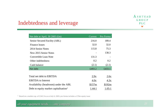#### ASHTEAD GROUP PLC  $\blacktriangledown$

# Indebtedness and leverage

| Net debt at April, 30 2005 $(\text{fm})$          | Current | Pro Forma |
|---------------------------------------------------|---------|-----------|
| Senior Secured Facility (ABL)                     | 216.0   | 189.4     |
| <b>Finance leases</b>                             | 32.0    | 32.0      |
| 2014 Senior Notes                                 | 115.8   | 75.3      |
| New 2015 Senior Notes                             |         | 138.3     |
| Convertible Loan Note                             | 131.3   |           |
| Other indebtedness                                | 0.2     | 0.2       |
| Cash balance                                      | (2.1)   | (2.1)     |
| Net debt                                          | £493.2  | £433.1    |
|                                                   |         |           |
| Total net debt to EBITDA                          | 2.9x    | 2.6x      |
| <b>EBITDA</b> to Interest                         | 4.0x    | 4.3x      |
| Availability (headroom) under the ABL             | \$157m  | \$192m    |
| Debt to equity market capitalisation <sup>1</sup> | 1.44:1  | 1.05:1    |

<sup>1</sup> Based on a market cap. of £345.7m as at July 6, 2005; pro forma includes a £70m equity issue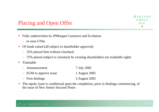# Placing and Open Offer

- П Fully underwritten by JPMorgan Cazenove and Evolution
	- to raise £70m
- $\mathcal{L}_{\mathcal{A}}$  Of funds raised (all subject to shareholder approval)
	- 25% placed firm without clawback
	- 75% placed subject to clawback by existing shareholders (no tradeable right)
- $\blacksquare$  Timetable
	- Announcement 7 July 2005 – EGM to approve issue 1 August 2005 – First dealings 3 August 2005
- **I**  The equity issue is conditional upon the completion, prior to dealings commencing, of the issue of New Senior Secured Notes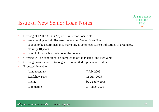#### Issue of New Senior Loan Notes

- п Offering of \$250m (c. £142m) of New Senior Loan Notes
	- same ranking and similar terms to existing Senior Loan Notes
	- coupon to be determined once marketing is complete; current indications of around 9%
	- maturity 10 years
	- listed in London but traded over the counter
- $\mathcal{L}_{\mathcal{A}}$ Offering will be conditional on completion of the Placing (and vice versa)
- $\blacksquare$ Offering provides access to long term committed capital at a fixed rate
- п Expected timetable

| $-$ Announcement  | 7 July 2005     |
|-------------------|-----------------|
| - Roadshow starts | 11 July 2005    |
| $-$ Pricing       | by 22 July 2005 |
| $-$ Completion    | 3 August 2005   |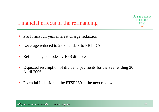# Financial effects of the refinancing

- $\blacksquare$ Pro forma full year interest charge reduction
- $\overline{\phantom{a}}$ Leverage reduced to 2.6x net debt to EBITDA
- $\mathbb{R}^2$ Refinancing is modestly EPS dilutive
- Expected resumption of dividend payments for the year ending 30 April 2006
- $\overline{\phantom{a}}$ Potential inclusion in the FTSE250 at the next review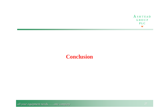

#### **Conclusion**

*all your equipment needs…….one company all your equipment needs all your equipment needs 27*